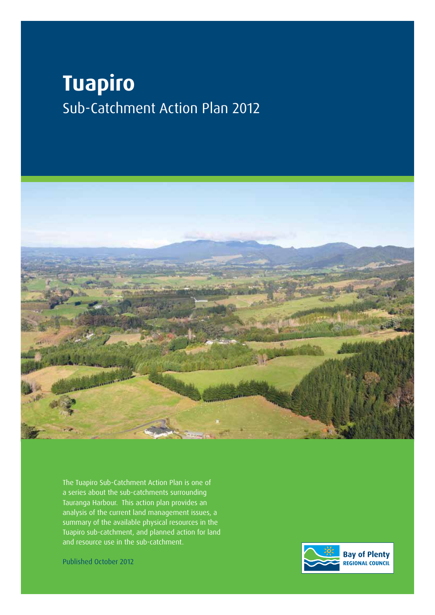# **Tuapiro** Sub-Catchment Action Plan 2012



The Tuapiro Sub-Catchment Action Plan is one of a series about the sub-catchments surrounding Tauranga Harbour. This action plan provides an analysis of the current land management issues, a summary of the available physical resources in the Tuapiro sub-catchment, and planned action for land and resource use in the sub-catchment.

Published October 2012

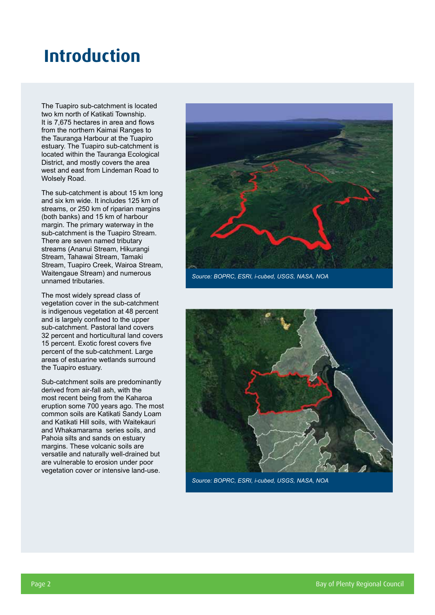## **Introduction**

The Tuapiro sub-catchment is located two km north of Katikati Township. It is 7,675 hectares in area and flows from the northern Kaimai Ranges to the Tauranga Harbour at the Tuapiro estuary. The Tuapiro sub-catchment is located within the Tauranga Ecological District, and mostly covers the area west and east from Lindeman Road to Wolsely Road.

The sub-catchment is about 15 km long and six km wide. It includes 125 km of streams, or 250 km of riparian margins (both banks) and 15 km of harbour margin. The primary waterway in the sub-catchment is the Tuapiro Stream. There are seven named tributary streams (Ananui Stream, Hikurangi Stream, Tahawai Stream, Tamaki Stream, Tuapiro Creek, Wairoa Stream, Waitengaue Stream) and numerous unnamed tributaries.

The most widely spread class of vegetation cover in the sub-catchment is indigenous vegetation at 48 percent and is largely confined to the upper sub-catchment. Pastoral land covers 32 percent and horticultural land covers 15 percent. Exotic forest covers five percent of the sub-catchment. Large areas of estuarine wetlands surround the Tuapiro estuary.

Sub-catchment soils are predominantly derived from air-fall ash, with the most recent being from the Kaharoa eruption some 700 years ago. The most common soils are Katikati Sandy Loam and Katikati Hill soils, with Waitekauri and Whakamarama series soils, and Pahoia silts and sands on estuary margins. These volcanic soils are versatile and naturally well-drained but are vulnerable to erosion under poor vegetation cover or intensive land-use.



*Source: BOPRC, ESRI, i-cubed, USGS, NASA, NOA*



*Source: BOPRC, ESRI, i-cubed, USGS, NASA, NOA*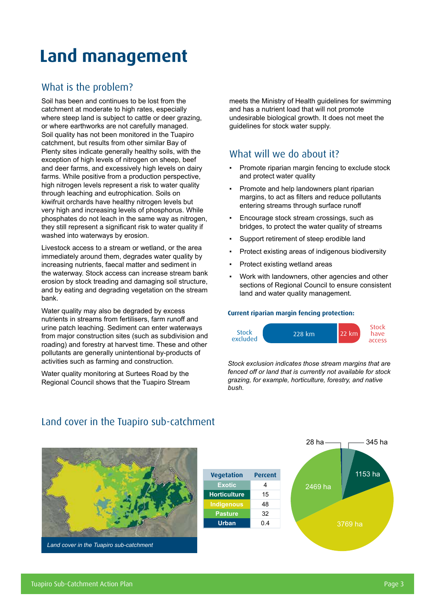## **Land management**

## What is the problem?

Soil has been and continues to be lost from the catchment at moderate to high rates, especially where steep land is subject to cattle or deer grazing, or where earthworks are not carefully managed. Soil quality has not been monitored in the Tuapiro catchment, but results from other similar Bay of Plenty sites indicate generally healthy soils, with the exception of high levels of nitrogen on sheep, beef and deer farms, and excessively high levels on dairy farms. While positive from a production perspective, high nitrogen levels represent a risk to water quality through leaching and eutrophication. Soils on kiwifruit orchards have healthy nitrogen levels but very high and increasing levels of phosphorus. While phosphates do not leach in the same way as nitrogen, they still represent a significant risk to water quality if washed into waterways by erosion.

Livestock access to a stream or wetland, or the area immediately around them, degrades water quality by increasing nutrients, faecal matter and sediment in the waterway. Stock access can increase stream bank erosion by stock treading and damaging soil structure, and by eating and degrading vegetation on the stream bank.

Water quality may also be degraded by excess nutrients in streams from fertilisers, farm runoff and urine patch leaching. Sediment can enter waterways from major construction sites (such as subdivision and roading) and forestry at harvest time. These and other pollutants are generally unintentional by-products of activities such as farming and construction.

Water quality monitoring at Surtees Road by the Regional Council shows that the Tuapiro Stream meets the Ministry of Health guidelines for swimming and has a nutrient load that will not promote undesirable biological growth. It does not meet the guidelines for stock water supply.

### What will we do about it?

- Promote riparian margin fencing to exclude stock and protect water quality
- Promote and help landowners plant riparian margins, to act as filters and reduce pollutants entering streams through surface runoff
- Encourage stock stream crossings, such as bridges, to protect the water quality of streams
- Support retirement of steep erodible land
- Protect existing areas of indigenous biodiversity
- Protect existing wetland areas
- Work with landowners, other agencies and other sections of Regional Council to ensure consistent land and water quality management.

#### **Current riparian margin fencing protection:**



*Stock exclusion indicates those stream margins that are fenced off or land that is currently not available for stock grazing, for example, horticulture, forestry, and native bush.*



*Land cover in the Tuapiro sub-catchment*

### Land cover in the Tuapiro sub-catchment

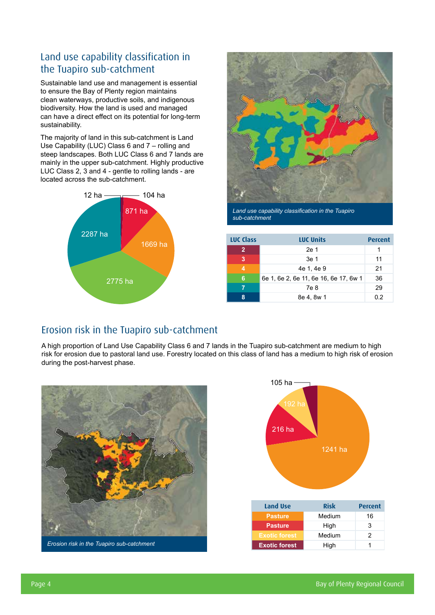## Land use capability classification in the Tuapiro sub-catchment

Sustainable land use and management is essential to ensure the Bay of Plenty region maintains clean waterways, productive soils, and indigenous biodiversity. How the land is used and managed can have a direct effect on its potential for long-term sustainability.

The majority of land in this sub-catchment is Land Use Capability (LUC) Class 6 and 7 – rolling and steep landscapes. Both LUC Class 6 and 7 lands are mainly in the upper sub-catchment. Highly productive LUC Class 2, 3 and 4 - gentle to rolling lands - are located across the sub-catchment.





*Land use capability classification in the Tuapiro sub-catchment*

| <b>LUC Class</b> | <b>LUC Units</b>                      | Percent |
|------------------|---------------------------------------|---------|
| $\overline{2}$   | 2e 1                                  |         |
| 3                | 3e 1                                  | 11      |
| $\overline{4}$   | 4e 1, 4e 9                            | 21      |
| 6                | 6e 1, 6e 2, 6e 11, 6e 16, 6e 17, 6w 1 | 36      |
|                  | 7e 8                                  | 29      |
| 8                | 8e 4, 8w 1                            | 0.2     |

## Erosion risk in the Tuapiro sub-catchment

A high proportion of Land Use Capability Class 6 and 7 lands in the Tuapiro sub-catchment are medium to high risk for erosion due to pastoral land use. Forestry located on this class of land has a medium to high risk of erosion during the post-harvest phase.



*Erosion risk in the Tuapiro sub-catchment*

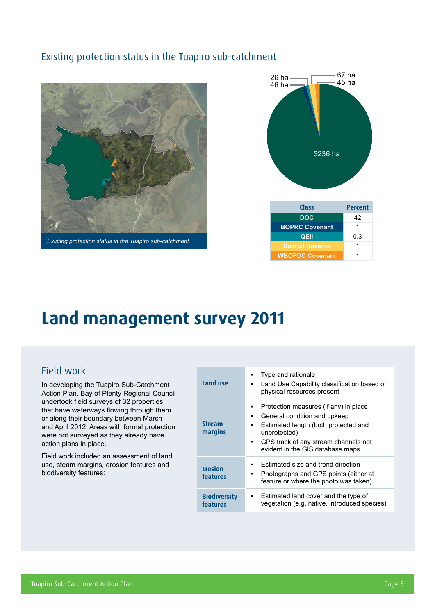### Existing protection status in the Tuapiro sub-catchment



*Existing protection status in the Tuapiro sub-catchment*



| Class                   | <b>Percent</b> |
|-------------------------|----------------|
| <b>DOC</b>              | 42             |
| <b>BOPRC Covenant</b>   | 1              |
| QEII                    | 0.3            |
| <b>District Reserve</b> | 1              |
| <b>WBOPDC Covenant</b>  |                |

## **Land management survey 2011**

## Field work

In developing the Tuapiro Sub-Catchment Action Plan, Bay of Plenty Regional Council undertook field surveys of 32 properties that have waterways flowing through them or along their boundary between March and April 2012. Areas with formal protection were not surveyed as they already have action plans in place.

Field work included an assessment of land use, steam margins, erosion features and biodiversity features:

| Land use                        | Type and rationale<br>٠<br>Land Use Capability classification based on<br>$\blacksquare$<br>physical resources present                                                                                                         |
|---------------------------------|--------------------------------------------------------------------------------------------------------------------------------------------------------------------------------------------------------------------------------|
| <b>Stream</b><br>margins        | Protection measures (if any) in place<br>٠<br>General condition and upkeep<br>٠<br>Estimated length (both protected and<br>٠<br>unprotected)<br>GPS track of any stream channels not<br>٠.<br>evident in the GIS database maps |
| <b>Erosion</b><br>features      | Estimated size and trend direction<br>٠<br>Photographs and GPS points (either at<br>$\blacksquare$<br>feature or where the photo was taken)                                                                                    |
| <b>Biodiversity</b><br>features | Estimated land cover and the type of<br>٠<br>vegetation (e.g. native, introduced species)                                                                                                                                      |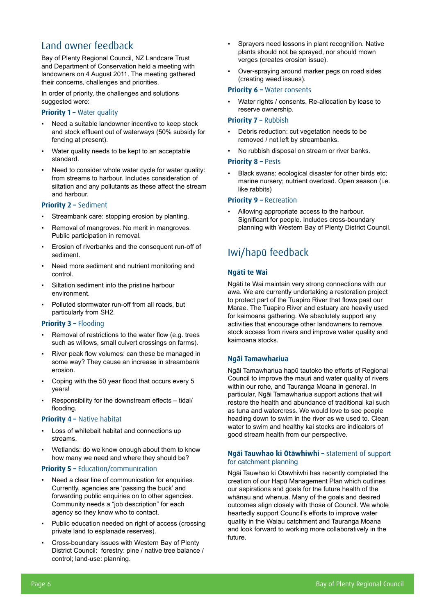## Land owner feedback

Bay of Plenty Regional Council, NZ Landcare Trust and Department of Conservation held a meeting with landowners on 4 August 2011. The meeting gathered their concerns, challenges and priorities.

In order of priority, the challenges and solutions suggested were:

#### **Priority 1 – Water quality**

- Need a suitable landowner incentive to keep stock and stock effluent out of waterways (50% subsidy for fencing at present).
- Water quality needs to be kept to an acceptable standard.
- Need to consider whole water cycle for water quality: from streams to harbour. Includes consideration of siltation and any pollutants as these affect the stream and harbour.

#### **Priority 2 –** Sediment

- Streambank care: stopping erosion by planting.
- Removal of mangroves. No merit in mangroves. Public participation in removal.
- Erosion of riverbanks and the consequent run-off of sediment.
- Need more sediment and nutrient monitoring and control.
- Siltation sediment into the pristine harbour environment.
- Polluted stormwater run-off from all roads, but particularly from SH2.

#### **Priority 3 – Flooding**

- Removal of restrictions to the water flow (e.g. trees such as willows, small culvert crossings on farms).
- River peak flow volumes: can these be managed in some way? They cause an increase in streambank erosion.
- Coping with the 50 year flood that occurs every 5 years!
- Responsibility for the downstream effects tidal/ flooding.

#### **Priority 4 - Native habitat**

- Loss of whitebait habitat and connections up streams.
- Wetlands: do we know enough about them to know how many we need and where they should be?

#### **Priority 5 –** Education/communication

- Need a clear line of communication for enquiries. Currently, agencies are 'passing the buck' and forwarding public enquiries on to other agencies. Community needs a "job description" for each agency so they know who to contact.
- Public education needed on right of access (crossing private land to esplanade reserves).
- Cross-boundary issues with Western Bay of Plenty District Council: forestry: pine / native tree balance / control; land-use: planning.
- Sprayers need lessons in plant recognition. Native plants should not be sprayed, nor should mown verges (creates erosion issue).
- Over-spraying around marker pegs on road sides (creating weed issues).

#### **Priority 6 – Water consents**

Water rights / consents. Re-allocation by lease to reserve ownership.

#### **Priority 7 –** Rubbish

- Debris reduction: cut vegetation needs to be removed / not left by streambanks.
- No rubbish disposal on stream or river banks.

#### **Priority 8 –** Pests

▪ Black swans: ecological disaster for other birds etc; marine nursery; nutrient overload. Open season (i.e. like rabbits)

#### **Priority 9 –** Recreation

Allowing appropriate access to the harbour. Significant for people. Includes cross-boundary planning with Western Bay of Plenty District Council.

## Iwi/hapū feedback

#### **Ngāti te Wai**

Ngāti te Wai maintain very strong connections with our awa. We are currently undertaking a restoration project to protect part of the Tuapiro River that flows past our Marae. The Tuapiro River and estuary are heavily used for kaimoana gathering. We absolutely support any activities that encourage other landowners to remove stock access from rivers and improve water quality and kaimoana stocks.

#### **Ngāi Tamawhariua**

Ngāi Tamawhariua hapū tautoko the efforts of Regional Council to improve the mauri and water quality of rivers within our rohe, and Tauranga Moana in general. In particular, Ngāi Tamawhariua support actions that will restore the health and abundance of traditional kai such as tuna and watercress. We would love to see people heading down to swim in the river as we used to. Clean water to swim and healthy kai stocks are indicators of good stream health from our perspective.

#### **Ngāi Tauwhao ki Ōtāwhiwhi –** statement of support for catchment planning

Ngāi Tauwhao ki Otawhiwhi has recently completed the creation of our Hapū Management Plan which outlines our aspirations and goals for the future health of the whānau and whenua. Many of the goals and desired outcomes align closely with those of Council. We whole heartedly support Council's efforts to improve water quality in the Waiau catchment and Tauranga Moana and look forward to working more collaboratively in the future.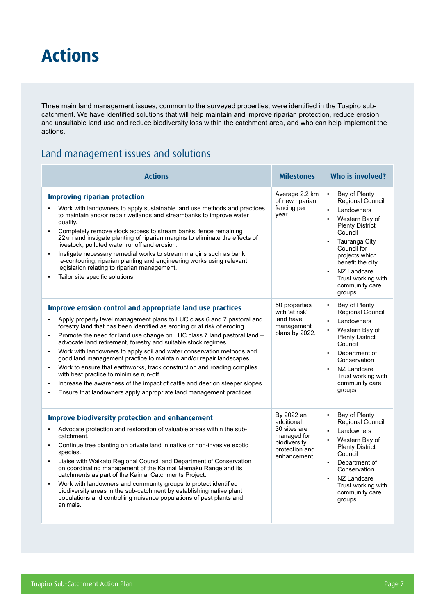## **Actions**

Three main land management issues, common to the surveyed properties, were identified in the Tuapiro subcatchment. We have identified solutions that will help maintain and improve riparian protection, reduce erosion and unsuitable land use and reduce biodiversity loss within the catchment area, and who can help implement the actions.

## Land management issues and solutions

| <b>Actions</b>                                                                                                                                                                                                                                                                                                                                                                                                                                                                                                                                                                                                                                                                                                                                                                                                                                                          | <b>Milestones</b>                                                                                         | Who is involved?                                                                                                                                                                                                                                                                                    |
|-------------------------------------------------------------------------------------------------------------------------------------------------------------------------------------------------------------------------------------------------------------------------------------------------------------------------------------------------------------------------------------------------------------------------------------------------------------------------------------------------------------------------------------------------------------------------------------------------------------------------------------------------------------------------------------------------------------------------------------------------------------------------------------------------------------------------------------------------------------------------|-----------------------------------------------------------------------------------------------------------|-----------------------------------------------------------------------------------------------------------------------------------------------------------------------------------------------------------------------------------------------------------------------------------------------------|
| <b>Improving riparian protection</b><br>Work with landowners to apply sustainable land use methods and practices<br>to maintain and/or repair wetlands and streambanks to improve water<br>quality.<br>Completely remove stock access to stream banks, fence remaining<br>$\blacksquare$<br>22km and instigate planting of riparian margins to eliminate the effects of<br>livestock, polluted water runoff and erosion.<br>Instigate necessary remedial works to stream margins such as bank<br>$\blacksquare$<br>re-contouring, riparian planting and engineering works using relevant<br>legislation relating to riparian management.<br>Tailor site specific solutions.<br>$\blacksquare$                                                                                                                                                                           | Average 2.2 km<br>of new riparian<br>fencing per<br>year.                                                 | Bay of Plenty<br>$\blacksquare$<br>Regional Council<br>Landowners<br>Western Bay of<br>$\blacksquare$<br><b>Plenty District</b><br>Council<br>Tauranga City<br>Council for<br>projects which<br>benefit the city<br>NZ Landcare<br>$\blacksquare$<br>Trust working with<br>community care<br>groups |
| Improve erosion control and appropriate land use practices<br>Apply property level management plans to LUC class 6 and 7 pastoral and<br>$\blacksquare$<br>forestry land that has been identified as eroding or at risk of eroding.<br>Promote the need for land use change on LUC class 7 land pastoral land -<br>$\blacksquare$<br>advocate land retirement, forestry and suitable stock regimes.<br>Work with landowners to apply soil and water conservation methods and<br>$\blacksquare$<br>good land management practice to maintain and/or repair landscapes.<br>Work to ensure that earthworks, track construction and roading complies<br>with best practice to minimise run-off.<br>Increase the awareness of the impact of cattle and deer on steeper slopes.<br>$\blacksquare$<br>Ensure that landowners apply appropriate land management practices.<br>٠ | 50 properties<br>with 'at risk'<br>land have<br>management<br>plans by 2022.                              | Bay of Plenty<br>$\blacksquare$<br><b>Regional Council</b><br>Landowners<br>Western Bay of<br>$\blacksquare$<br><b>Plenty District</b><br>Council<br>Department of<br>$\blacksquare$<br>Conservation<br>NZ Landcare<br>Trust working with<br>community care<br>groups                               |
| <b>Improve biodiversity protection and enhancement</b><br>Advocate protection and restoration of valuable areas within the sub-<br>$\blacksquare$<br>catchment.<br>Continue tree planting on private land in native or non-invasive exotic<br>$\blacksquare$<br>species.<br>Liaise with Waikato Regional Council and Department of Conservation<br>$\blacksquare$<br>on coordinating management of the Kaimai Mamaku Range and its<br>catchments as part of the Kaimai Catchments Project.<br>Work with landowners and community groups to protect identified<br>$\blacksquare$<br>biodiversity areas in the sub-catchment by establishing native plant<br>populations and controlling nuisance populations of pest plants and<br>animals.                                                                                                                              | By 2022 an<br>additional<br>30 sites are<br>managed for<br>biodiversity<br>protection and<br>enhancement. | Bay of Plenty<br>$\blacksquare$<br>Regional Council<br>Landowners<br>$\blacksquare$<br>Western Bay of<br>$\blacksquare$<br><b>Plenty District</b><br>Council<br>Department of<br>$\blacksquare$<br>Conservation<br>NZ Landcare<br>Trust working with<br>community care<br>groups                    |